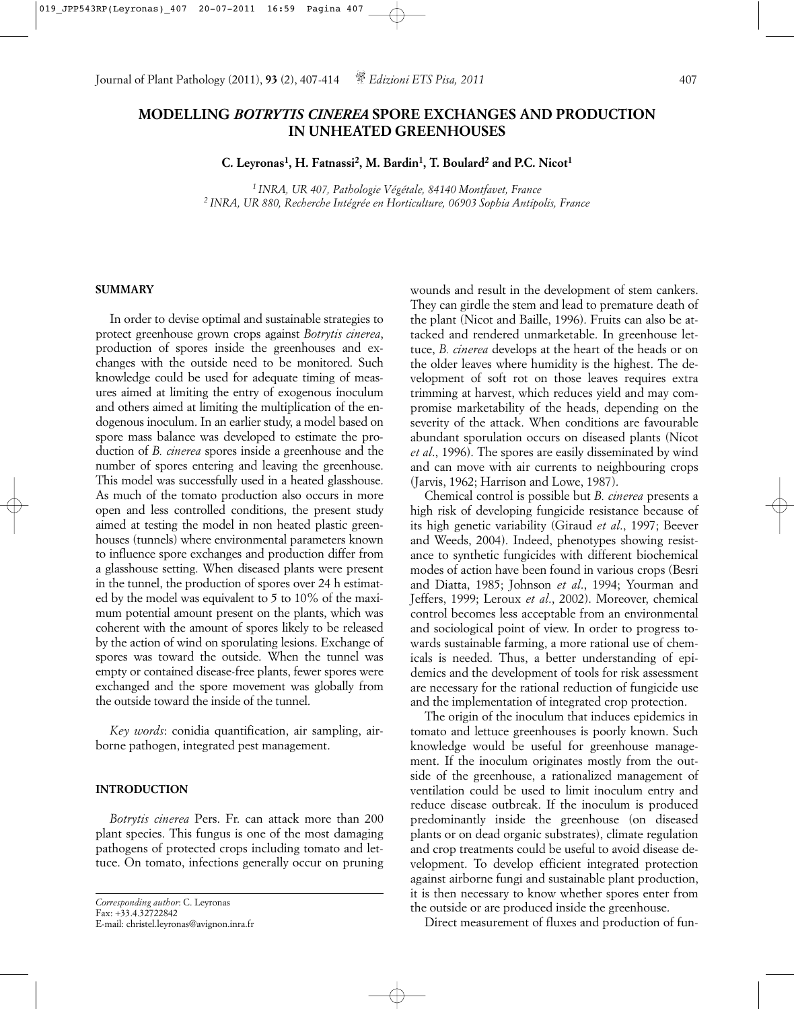# **MODELLING** *BOTRYTIS CINEREA* **SPORE EXCHANGES AND PRODUCTION IN UNHEATED GREENHOUSES**

**C. Leyronas1, H. Fatnassi2, M. Bardin1, T. Boulard2 and P.C. Nicot1**

*1 INRA, UR 407, Pathologie Végétale, 84140 Montfavet, France 2 INRA, UR 880, Recherche Intégrée en Horticulture, 06903 Sophia Antipolis, France*

# **SUMMARY**

In order to devise optimal and sustainable strategies to protect greenhouse grown crops against *Botrytis cinerea*, production of spores inside the greenhouses and exchanges with the outside need to be monitored. Such knowledge could be used for adequate timing of measures aimed at limiting the entry of exogenous inoculum and others aimed at limiting the multiplication of the endogenous inoculum. In an earlier study, a model based on spore mass balance was developed to estimate the production of *B. cinerea* spores inside a greenhouse and the number of spores entering and leaving the greenhouse. This model was successfully used in a heated glasshouse. As much of the tomato production also occurs in more open and less controlled conditions, the present study aimed at testing the model in non heated plastic greenhouses (tunnels) where environmental parameters known to influence spore exchanges and production differ from a glasshouse setting. When diseased plants were present in the tunnel, the production of spores over 24 h estimated by the model was equivalent to 5 to 10% of the maximum potential amount present on the plants, which was coherent with the amount of spores likely to be released by the action of wind on sporulating lesions. Exchange of spores was toward the outside. When the tunnel was empty or contained disease-free plants, fewer spores were exchanged and the spore movement was globally from the outside toward the inside of the tunnel.

*Key words*: conidia quantification, air sampling, airborne pathogen, integrated pest management.

### **INTRODUCTION**

*Botrytis cinerea* Pers. Fr. can attack more than 200 plant species. This fungus is one of the most damaging pathogens of protected crops including tomato and lettuce. On tomato, infections generally occur on pruning

```
Corresponding author: C. Leyronas
Fax: +33.4.32722842
E-mail: christel.leyronas@avignon.inra.fr
```
wounds and result in the development of stem cankers. They can girdle the stem and lead to premature death of the plant (Nicot and Baille, 1996). Fruits can also be attacked and rendered unmarketable. In greenhouse lettuce, *B. cinerea* develops at the heart of the heads or on the older leaves where humidity is the highest. The development of soft rot on those leaves requires extra trimming at harvest, which reduces yield and may compromise marketability of the heads, depending on the severity of the attack. When conditions are favourable abundant sporulation occurs on diseased plants (Nicot *et al*., 1996). The spores are easily disseminated by wind and can move with air currents to neighbouring crops (Jarvis, 1962; Harrison and Lowe, 1987).

Chemical control is possible but *B. cinerea* presents a high risk of developing fungicide resistance because of its high genetic variability (Giraud *et al*., 1997; Beever and Weeds, 2004). Indeed, phenotypes showing resistance to synthetic fungicides with different biochemical modes of action have been found in various crops (Besri and Diatta, 1985; Johnson *et al*., 1994; Yourman and Jeffers, 1999; Leroux *et al*., 2002). Moreover, chemical control becomes less acceptable from an environmental and sociological point of view. In order to progress towards sustainable farming, a more rational use of chemicals is needed. Thus, a better understanding of epidemics and the development of tools for risk assessment are necessary for the rational reduction of fungicide use and the implementation of integrated crop protection.

The origin of the inoculum that induces epidemics in tomato and lettuce greenhouses is poorly known. Such knowledge would be useful for greenhouse management. If the inoculum originates mostly from the outside of the greenhouse, a rationalized management of ventilation could be used to limit inoculum entry and reduce disease outbreak. If the inoculum is produced predominantly inside the greenhouse (on diseased plants or on dead organic substrates), climate regulation and crop treatments could be useful to avoid disease development. To develop efficient integrated protection against airborne fungi and sustainable plant production, it is then necessary to know whether spores enter from the outside or are produced inside the greenhouse.

Direct measurement of fluxes and production of fun-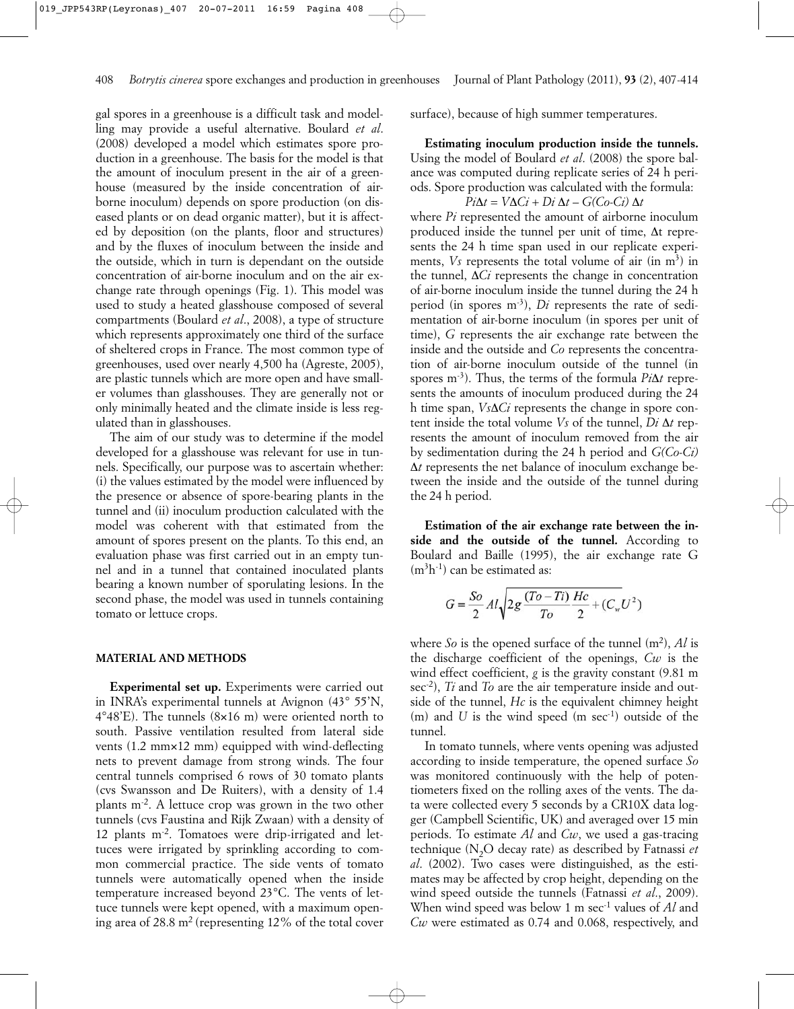gal spores in a greenhouse is a difficult task and modelling may provide a useful alternative. Boulard *et al*. (2008) developed a model which estimates spore production in a greenhouse. The basis for the model is that the amount of inoculum present in the air of a greenhouse (measured by the inside concentration of airborne inoculum) depends on spore production (on diseased plants or on dead organic matter), but it is affected by deposition (on the plants, floor and structures) and by the fluxes of inoculum between the inside and the outside, which in turn is dependant on the outside concentration of air-borne inoculum and on the air exchange rate through openings (Fig. 1). This model was used to study a heated glasshouse composed of several compartments (Boulard *et al*., 2008), a type of structure which represents approximately one third of the surface of sheltered crops in France. The most common type of greenhouses, used over nearly 4,500 ha (Agreste, 2005), are plastic tunnels which are more open and have smaller volumes than glasshouses. They are generally not or only minimally heated and the climate inside is less regulated than in glasshouses.

The aim of our study was to determine if the model developed for a glasshouse was relevant for use in tunnels. Specifically, our purpose was to ascertain whether: (i) the values estimated by the model were influenced by the presence or absence of spore-bearing plants in the tunnel and (ii) inoculum production calculated with the model was coherent with that estimated from the amount of spores present on the plants. To this end, an evaluation phase was first carried out in an empty tunnel and in a tunnel that contained inoculated plants bearing a known number of sporulating lesions. In the second phase, the model was used in tunnels containing tomato or lettuce crops.

#### **MATERIAL AND METHODS**

**Experimental set up.** Experiments were carried out in INRA's experimental tunnels at Avignon (43° 55'N,  $4^{\circ}48'E$ ). The tunnels  $(8\times16$  m) were oriented north to south. Passive ventilation resulted from lateral side vents (1.2 mm×12 mm) equipped with wind-deflecting nets to prevent damage from strong winds. The four central tunnels comprised 6 rows of 30 tomato plants (cvs Swansson and De Ruiters), with a density of 1.4 plants m-2. A lettuce crop was grown in the two other tunnels (cvs Faustina and Rijk Zwaan) with a density of 12 plants m-2. Tomatoes were drip-irrigated and lettuces were irrigated by sprinkling according to common commercial practice. The side vents of tomato tunnels were automatically opened when the inside temperature increased beyond 23°C. The vents of lettuce tunnels were kept opened, with a maximum opening area of 28.8  $m<sup>2</sup>$  (representing 12% of the total cover surface), because of high summer temperatures.

**Estimating inoculum production inside the tunnels.** Using the model of Boulard *et al*. (2008) the spore balance was computed during replicate series of 24 h periods. Spore production was calculated with the formula: *Pi*∆*t* =  $V\Delta Ci + Di \Delta t - G(C_0-C_1) \Delta t$ 

where *Pi* represented the amount of airborne inoculum produced inside the tunnel per unit of time, ∆t represents the 24 h time span used in our replicate experiments,  $V_s$  represents the total volume of air (in  $m<sup>3</sup>$ ) in the tunnel, ∆*Ci* represents the change in concentration of air-borne inoculum inside the tunnel during the 24 h period (in spores m-3), *Di* represents the rate of sedimentation of air-borne inoculum (in spores per unit of time), *G* represents the air exchange rate between the inside and the outside and *Co* represents the concentration of air-borne inoculum outside of the tunnel (in spores m-3). Thus, the terms of the formula *Pi*∆*t* represents the amounts of inoculum produced during the 24 h time span, *Vs*∆*Ci* represents the change in spore content inside the total volume *Vs* of the tunnel, *Di* ∆*t* represents the amount of inoculum removed from the air by sedimentation during the 24 h period and *G(Co-Ci)* ∆*t* represents the net balance of inoculum exchange between the inside and the outside of the tunnel during the 24 h period.

**Estimation of the air exchange rate between the inside and the outside of the tunnel.** According to Boulard and Baille (1995), the air exchange rate G  $(m<sup>3</sup>h<sup>-1</sup>)$  can be estimated as:

$$
G = \frac{So}{2} Al \sqrt{2g \frac{(To - Ti)}{To} \frac{Hc}{2} + (C_w U^2)}
$$

where  $\delta$ *o* is the opened surface of the tunnel  $(m^2)$ ,  $\Lambda$ *l* is the discharge coefficient of the openings, *Cw* is the wind effect coefficient, *g* is the gravity constant (9.81 m sec-2), *Ti* and *To* are the air temperature inside and outside of the tunnel, *Hc* is the equivalent chimney height  $(m)$  and *U* is the wind speed  $(m \sec^{-1})$  outside of the tunnel.

In tomato tunnels, where vents opening was adjusted according to inside temperature, the opened surface *So* was monitored continuously with the help of potentiometers fixed on the rolling axes of the vents. The data were collected every 5 seconds by a CR10X data logger (Campbell Scientific, UK) and averaged over 15 min periods. To estimate *Al* and *Cw*, we used a gas-tracing technique (N2O decay rate) as described by Fatnassi *et al*. (2002). Two cases were distinguished, as the estimates may be affected by crop height, depending on the wind speed outside the tunnels (Fatnassi *et al*., 2009). When wind speed was below 1 m sec<sup>-1</sup> values of *Al* and *Cw* were estimated as 0.74 and 0.068, respectively, and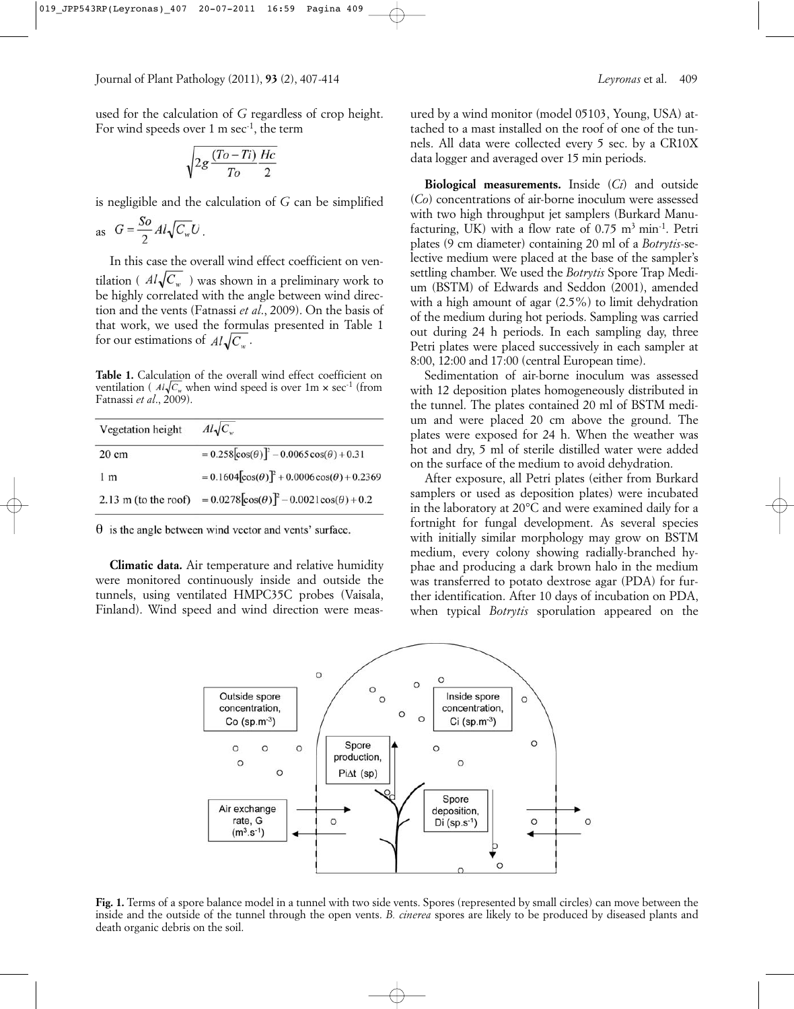used for the calculation of *G* regardless of crop height. For wind speeds over 1 m sec<sup>-1</sup>, the term

$$
\sqrt{2g\frac{(To-Ti)}{To}\frac{Hc}{2}}
$$

is negligible and the calculation of *G* can be simplified

$$
as \tG = \frac{So}{2} Al \sqrt{C_w} U.
$$

In this case the overall wind effect coefficient on ventilation ( $Al\sqrt{C_w}$ ) was shown in a preliminary work to be highly correlated with the angle between wind direction and the vents (Fatnassi *et al*., 2009). On the basis of that work, we used the formulas presented in Table 1 for our estimations of  $Al\sqrt{C_{w}}$ .

**Table 1.** Calculation of the overall wind effect coefficient on ventilation ( $Al\sqrt{C_w}$  when wind speed is over 1m  $\times$  sec<sup>-1</sup> (from Fatnassi *et al*., 2009).

| Vegetation height              | $Al\sqrt{C_{w}}$                                         |
|--------------------------------|----------------------------------------------------------|
| $20 \text{ cm}$                | $= 0.258[\cos(\theta)]^2 - 0.0065\cos(\theta) + 0.31$    |
| 1 <sub>m</sub>                 | $= 0.1604[\cos(\theta)]^2 + 0.0006\cos(\theta) + 0.2369$ |
| $2.13 \text{ m}$ (to the roof) | $= 0.0278[\cos(\theta)]^2 - 0.0021\cos(\theta) + 0.2$    |

 $\theta$  is the angle between wind vector and vents' surface.

**Climatic data.** Air temperature and relative humidity were monitored continuously inside and outside the tunnels, using ventilated HMPC35C probes (Vaisala, Finland). Wind speed and wind direction were meas-

**Biological measurements.** Inside (*Ci*) and outside (*Co*) concentrations of air-borne inoculum were assessed with two high throughput jet samplers (Burkard Manufacturing, UK) with a flow rate of  $0.75 \text{ m}^3 \text{ min}^{-1}$ . Petri plates (9 cm diameter) containing 20 ml of a *Botrytis*-selective medium were placed at the base of the sampler's settling chamber. We used the *Botrytis* Spore Trap Medium (BSTM) of Edwards and Seddon (2001), amended with a high amount of agar (2.5%) to limit dehydration of the medium during hot periods. Sampling was carried out during 24 h periods. In each sampling day, three Petri plates were placed successively in each sampler at 8:00, 12:00 and 17:00 (central European time).

data logger and averaged over 15 min periods.

Sedimentation of air-borne inoculum was assessed with 12 deposition plates homogeneously distributed in the tunnel. The plates contained 20 ml of BSTM medium and were placed 20 cm above the ground. The plates were exposed for 24 h. When the weather was hot and dry, 5 ml of sterile distilled water were added on the surface of the medium to avoid dehydration.

After exposure, all Petri plates (either from Burkard samplers or used as deposition plates) were incubated in the laboratory at 20°C and were examined daily for a fortnight for fungal development. As several species with initially similar morphology may grow on BSTM medium, every colony showing radially-branched hyphae and producing a dark brown halo in the medium was transferred to potato dextrose agar (PDA) for further identification. After 10 days of incubation on PDA, when typical *Botrytis* sporulation appeared on the



**Fig. 1.** Terms of a spore balance model in a tunnel with two side vents. Spores (represented by small circles) can move between the inside and the outside of the tunnel through the open vents. *B. cinerea* spores are likely to be produced by diseased plants and death organic debris on the soil.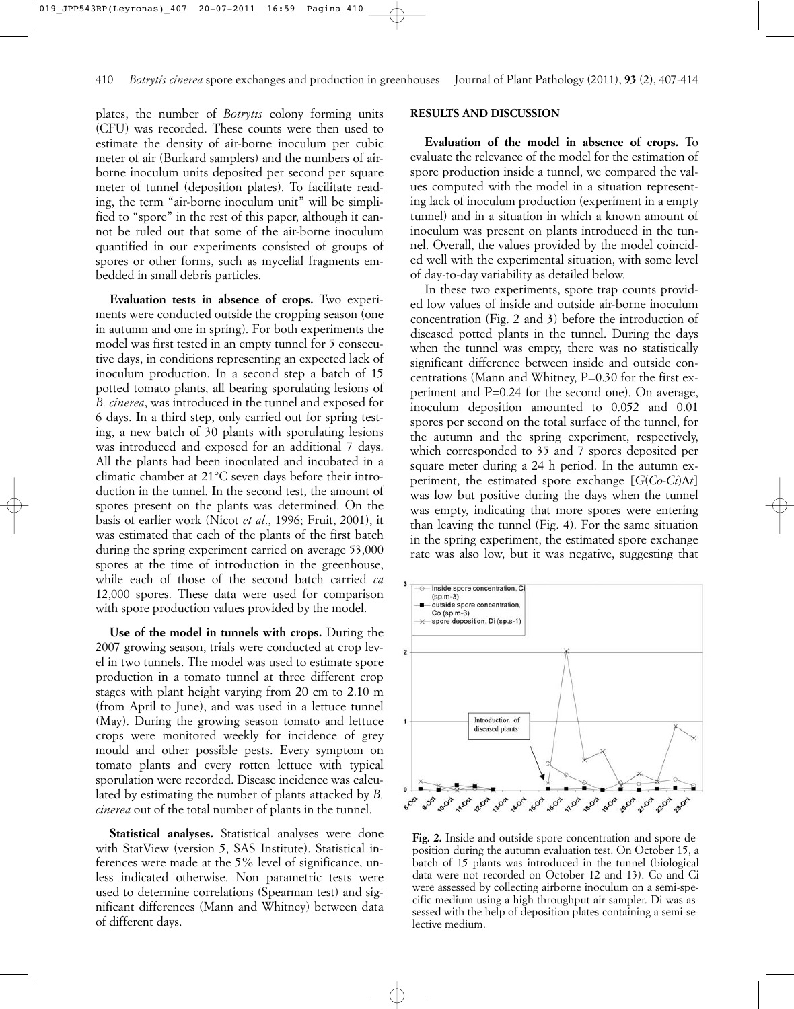plates, the number of *Botrytis* colony forming units (CFU) was recorded. These counts were then used to estimate the density of air-borne inoculum per cubic meter of air (Burkard samplers) and the numbers of airborne inoculum units deposited per second per square meter of tunnel (deposition plates). To facilitate reading, the term "air-borne inoculum unit" will be simplified to "spore" in the rest of this paper, although it cannot be ruled out that some of the air-borne inoculum quantified in our experiments consisted of groups of spores or other forms, such as mycelial fragments embedded in small debris particles.

**Evaluation tests in absence of crops.** Two experiments were conducted outside the cropping season (one in autumn and one in spring). For both experiments the model was first tested in an empty tunnel for 5 consecutive days, in conditions representing an expected lack of inoculum production. In a second step a batch of 15 potted tomato plants, all bearing sporulating lesions of *B. cinerea*, was introduced in the tunnel and exposed for 6 days. In a third step, only carried out for spring testing, a new batch of 30 plants with sporulating lesions was introduced and exposed for an additional 7 days. All the plants had been inoculated and incubated in a climatic chamber at 21°C seven days before their introduction in the tunnel. In the second test, the amount of spores present on the plants was determined. On the basis of earlier work (Nicot *et al*., 1996; Fruit, 2001), it was estimated that each of the plants of the first batch during the spring experiment carried on average 53,000 spores at the time of introduction in the greenhouse, while each of those of the second batch carried *ca* 12,000 spores. These data were used for comparison with spore production values provided by the model.

**Use of the model in tunnels with crops.** During the 2007 growing season, trials were conducted at crop level in two tunnels. The model was used to estimate spore production in a tomato tunnel at three different crop stages with plant height varying from 20 cm to 2.10 m (from April to June), and was used in a lettuce tunnel (May). During the growing season tomato and lettuce crops were monitored weekly for incidence of grey mould and other possible pests. Every symptom on tomato plants and every rotten lettuce with typical sporulation were recorded. Disease incidence was calculated by estimating the number of plants attacked by *B. cinerea* out of the total number of plants in the tunnel.

**Statistical analyses.** Statistical analyses were done with StatView (version 5, SAS Institute). Statistical inferences were made at the 5% level of significance, unless indicated otherwise. Non parametric tests were used to determine correlations (Spearman test) and significant differences (Mann and Whitney) between data of different days.

## **RESULTS AND DISCUSSION**

**Evaluation of the model in absence of crops.** To evaluate the relevance of the model for the estimation of spore production inside a tunnel, we compared the values computed with the model in a situation representing lack of inoculum production (experiment in a empty tunnel) and in a situation in which a known amount of inoculum was present on plants introduced in the tunnel. Overall, the values provided by the model coincided well with the experimental situation, with some level of day-to-day variability as detailed below.

In these two experiments, spore trap counts provided low values of inside and outside air-borne inoculum concentration (Fig. 2 and 3) before the introduction of diseased potted plants in the tunnel. During the days when the tunnel was empty, there was no statistically significant difference between inside and outside concentrations (Mann and Whitney, P=0.30 for the first experiment and P=0.24 for the second one). On average, inoculum deposition amounted to 0.052 and 0.01 spores per second on the total surface of the tunnel, for the autumn and the spring experiment, respectively, which corresponded to 35 and 7 spores deposited per square meter during a 24 h period. In the autumn experiment, the estimated spore exchange  $[G(C_0-C_i)\Delta t]$ was low but positive during the days when the tunnel was empty, indicating that more spores were entering than leaving the tunnel (Fig. 4). For the same situation in the spring experiment, the estimated spore exchange rate was also low, but it was negative, suggesting that



**Fig. 2.** Inside and outside spore concentration and spore deposition during the autumn evaluation test. On October 15, a batch of 15 plants was introduced in the tunnel (biological data were not recorded on October 12 and 13). Co and Ci were assessed by collecting airborne inoculum on a semi-specific medium using a high throughput air sampler. Di was assessed with the help of deposition plates containing a semi-selective medium.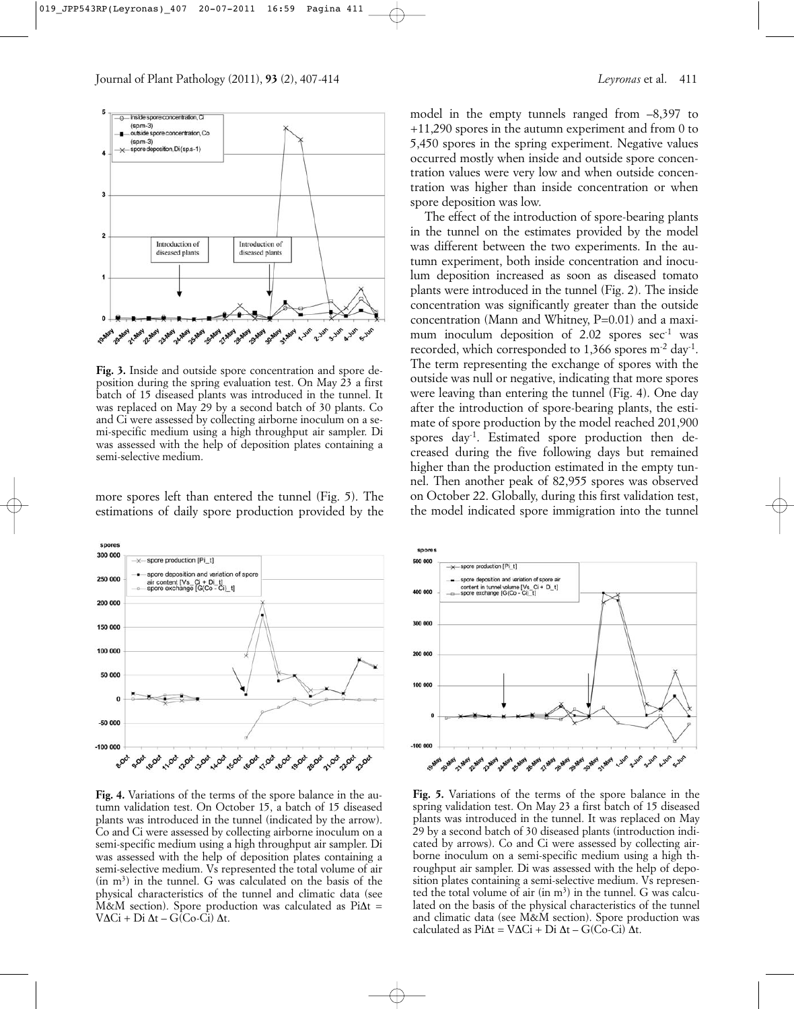

**Fig. 3.** Inside and outside spore concentration and spore deposition during the spring evaluation test. On May 23 a first batch of 15 diseased plants was introduced in the tunnel. It was replaced on May 29 by a second batch of 30 plants. Co and Ci were assessed by collecting airborne inoculum on a semi-specific medium using a high throughput air sampler. Di was assessed with the help of deposition plates containing a semi-selective medium.

more spores left than entered the tunnel (Fig. 5). The estimations of daily spore production provided by the



**Fig. 4.** Variations of the terms of the spore balance in the autumn validation test. On October 15, a batch of 15 diseased plants was introduced in the tunnel (indicated by the arrow). Co and Ci were assessed by collecting airborne inoculum on a semi-specific medium using a high throughput air sampler. Di was assessed with the help of deposition plates containing a semi-selective medium. Vs represented the total volume of air  $(in m<sup>3</sup>)$  in the tunnel. G was calculated on the basis of the physical characteristics of the tunnel and climatic data (see M&M section). Spore production was calculated as Pi∆t = V∆Ci + Di ∆t – G(Co-Ci) ∆t.

model in the empty tunnels ranged from –8,397 to +11,290 spores in the autumn experiment and from 0 to 5,450 spores in the spring experiment. Negative values occurred mostly when inside and outside spore concentration values were very low and when outside concentration was higher than inside concentration or when spore deposition was low.

The effect of the introduction of spore-bearing plants in the tunnel on the estimates provided by the model was different between the two experiments. In the autumn experiment, both inside concentration and inoculum deposition increased as soon as diseased tomato plants were introduced in the tunnel (Fig. 2). The inside concentration was significantly greater than the outside concentration (Mann and Whitney, P=0.01) and a maximum inoculum deposition of  $2.02$  spores sec<sup>-1</sup> was recorded, which corresponded to 1,366 spores m<sup>-2</sup> day<sup>-1</sup>. The term representing the exchange of spores with the outside was null or negative, indicating that more spores were leaving than entering the tunnel (Fig. 4). One day after the introduction of spore-bearing plants, the estimate of spore production by the model reached 201,900 spores day-1. Estimated spore production then decreased during the five following days but remained higher than the production estimated in the empty tunnel. Then another peak of 82,955 spores was observed on October 22. Globally, during this first validation test, the model indicated spore immigration into the tunnel



**Fig. 5.** Variations of the terms of the spore balance in the spring validation test. On May 23 a first batch of 15 diseased plants was introduced in the tunnel. It was replaced on May 29 by a second batch of 30 diseased plants (introduction indicated by arrows). Co and Ci were assessed by collecting airborne inoculum on a semi-specific medium using a high throughput air sampler. Di was assessed with the help of deposition plates containing a semi-selective medium. Vs represented the total volume of air (in  $m<sup>3</sup>$ ) in the tunnel. G was calculated on the basis of the physical characteristics of the tunnel and climatic data (see M&M section). Spore production was calculated as Pi∆t = V∆Ci + Di ∆t – G(Co-Ci) ∆t.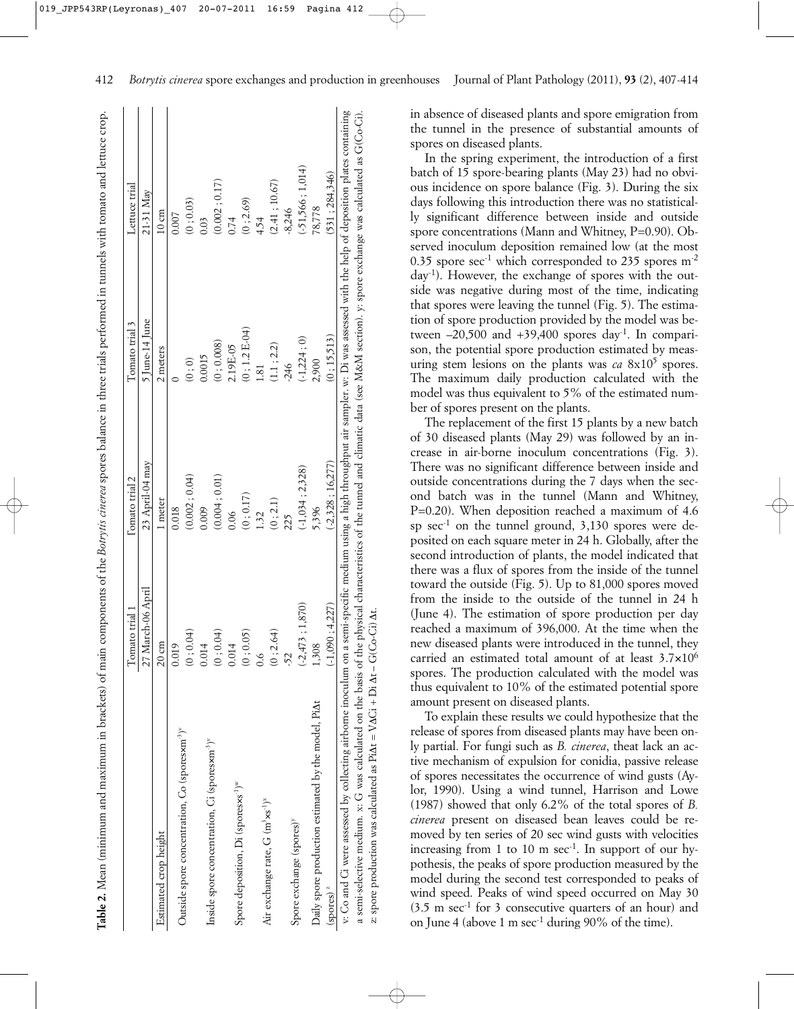|                                                                                                                                                                                            | Tomato trial 1    | l'omato trial 2    | Tomato trial 3   | Lettuce trial      |
|--------------------------------------------------------------------------------------------------------------------------------------------------------------------------------------------|-------------------|--------------------|------------------|--------------------|
|                                                                                                                                                                                            | 27 March-06 April | 23 April-04 may    | $5$ June-14 June | 21-31 May          |
| Estimated crop height                                                                                                                                                                      | $20 \text{ cm}$   | 1 meter            | 2 meters         | $10 \text{ cm}$    |
|                                                                                                                                                                                            | 0.019             | 0.018              |                  | 0.007              |
| Outside spore concentration, Co (sporesxm <sup>-2)"</sup>                                                                                                                                  | (0, 0.04)         | (0.002; 0.04)      | (0, 0)           | (0; 0.03)          |
|                                                                                                                                                                                            | 0.014             | 0.009              | 0.0015           | 0.03               |
| Inside spore concentration, Ci (sporesxm <sup>-3)v</sup>                                                                                                                                   | (0, 0.04)         | (0.004; 0.01)      | (0; 0.008)       | (0.002; 0.17)      |
|                                                                                                                                                                                            | 0.014             | 0.06               | 2.19E-05         | 0.74               |
| Spore deposition, Di (sporesxs <sup>-1)w</sup>                                                                                                                                             | (0, 0.05)         | (0; 0.17)          | $(0; 1.2 E-04)$  | (0; 2.69)          |
|                                                                                                                                                                                            | $\frac{6}{10}$    | 1.32               | $\overline{81}$  | 4.54               |
| Air exchange rate, G (m <sup>3</sup> xs <sup>-1</sup> ) <sup>x</sup>                                                                                                                       | (0; 2.64)         | (0; 2.1)           | (1.1; 2.2)       | (2.41; 10.67)      |
|                                                                                                                                                                                            | 52                | 225                | $-246$           | $-8,246$           |
| Spore exchange (spores) <sup>y</sup>                                                                                                                                                       | $(-2,473; 1,870)$ | $(-1,034; 2,328)$  | $(-1,224;0)$     | $(-51,566; 1,014)$ |
| Daily spore production estimated by the model, PiAt                                                                                                                                        | 1,308             | 5,396              | 2,900            | 78,778             |
| $(s$ pores) $z$                                                                                                                                                                            | $(-1,090; 4,227)$ | $(-2,328; 16,277)$ | (0:15,513)       | (531; 284,346)     |
| v. Co and Gi were assessed by collecting airborne inoculum on a semi-specific medium using a high throughput air sampler. w: Di was assessed with the help of deposition plates containing |                   |                    |                  |                    |
| a semi-selective medium. x: G was calculated on the basis of the physical characteristics of the tunnel and climatic data (see M&M section). y: spore exchange was calculated as G(Co-Ci). |                   |                    |                  |                    |
| z: spore production was calculated as Pi $\Delta t = VACI + Di \Delta t - G(C_O - Ci) \Delta t$ .                                                                                          |                   |                    |                  |                    |

in absence of diseased plants and spore emigration from the tunnel in the presence of substantial amounts of spores on diseased plants.

In the spring experiment, the introduction of a first batch of 15 spore-bearing plants (May 23) had no obvious incidence on spore balance (Fig. 3). During the six days following this introduction there was no statistically significant difference between inside and outside spore concentrations (Mann and Whitney, P=0.90). Observed inoculum deposition remained low (at the most 0.35 spore sec<sup>-1</sup> which corresponded to 235 spores  $m<sup>-2</sup>$ day-1). However, the exchange of spores with the outside was negative during most of the time, indicating that spores were leaving the tunnel (Fig. 5). The estimation of spore production provided by the model was between  $-20,500$  and  $+39,400$  spores day<sup>-1</sup>. In comparison, the potential spore production estimated by measuring stem lesions on the plants was  $ca \, 8x10^5$  spores. The maximum daily production calculated with the model was thus equivalent to 5% of the estimated number of spores present on the plants.

The replacement of the first 15 plants by a new batch of 30 diseased plants (May 29) was followed by an increase in air-borne inoculum concentrations (Fig. 3). There was no significant difference between inside and outside concentrations during the 7 days when the second batch was in the tunnel (Mann and Whitney, P=0.20). When deposition reached a maximum of 4.6 sp  $\sec^{-1}$  on the tunnel ground, 3,130 spores were deposited on each square meter in 24 h. Globally, after the second introduction of plants, the model indicated that there was a flux of spores from the inside of the tunnel toward the outside (Fig. 5). Up to 81,000 spores moved from the inside to the outside of the tunnel in 24 h (June 4). The estimation of spore production per day reached a maximum of 396,000. At the time when the new diseased plants were introduced in the tunnel, they carried an estimated total amount of at least 3.7×106 spores. The production calculated with the model was thus equivalent to 10% of the estimated potential spore amount present on diseased plants.

To explain these results we could hypothesize that the release of spores from diseased plants may have been only partial. For fungi such as *B. cinerea*, theat lack an active mechanism of expulsion for conidia, passive release of spores necessitates the occurrence of wind gusts (Aylor, 1990). Using a wind tunnel, Harrison and Lowe (1987) showed that only 6.2% of the total spores of *B. cinerea* present on diseased bean leaves could be removed by ten series of 20 sec wind gusts with velocities increasing from 1 to 10 m  $\sec^{-1}$ . In support of our hypothesis, the peaks of spore production measured by the model during the second test corresponded to peaks of wind speed. Peaks of wind speed occurred on May 30  $(3.5 \text{ m sec}^{-1} \text{ for } 3 \text{ consecutive quarters of an hour})$  and on June 4 (above 1 m sec-1 during 90% of the time).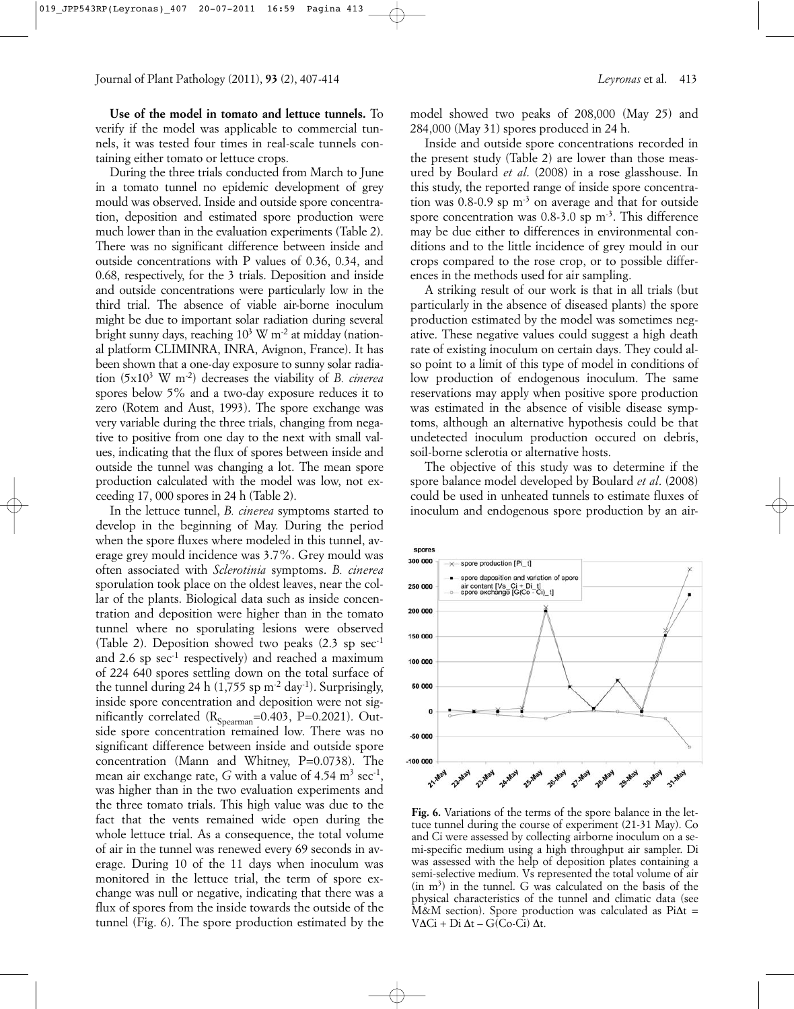**Use of the model in tomato and lettuce tunnels.** To verify if the model was applicable to commercial tunnels, it was tested four times in real-scale tunnels containing either tomato or lettuce crops.

During the three trials conducted from March to June in a tomato tunnel no epidemic development of grey mould was observed. Inside and outside spore concentration, deposition and estimated spore production were much lower than in the evaluation experiments (Table 2). There was no significant difference between inside and outside concentrations with P values of 0.36, 0.34, and 0.68, respectively, for the 3 trials. Deposition and inside and outside concentrations were particularly low in the third trial. The absence of viable air-borne inoculum might be due to important solar radiation during several bright sunny days, reaching  $10^3$  W m<sup>-2</sup> at midday (national platform CLIMINRA, INRA, Avignon, France). It has been shown that a one-day exposure to sunny solar radiation (5x103 W m-2) decreases the viability of *B. cinerea* spores below 5% and a two-day exposure reduces it to zero (Rotem and Aust, 1993). The spore exchange was very variable during the three trials, changing from negative to positive from one day to the next with small values, indicating that the flux of spores between inside and outside the tunnel was changing a lot. The mean spore production calculated with the model was low, not exceeding 17, 000 spores in 24 h (Table 2).

In the lettuce tunnel, *B. cinerea* symptoms started to develop in the beginning of May. During the period when the spore fluxes where modeled in this tunnel, average grey mould incidence was 3.7%. Grey mould was often associated with *Sclerotinia* symptoms. *B. cinerea* sporulation took place on the oldest leaves, near the collar of the plants. Biological data such as inside concentration and deposition were higher than in the tomato tunnel where no sporulating lesions were observed (Table 2). Deposition showed two peaks  $(2.3 \text{ sp} \sec^{-1}$ and 2.6 sp sec<sup>-1</sup> respectively) and reached a maximum of 224 640 spores settling down on the total surface of the tunnel during 24 h  $(1,755 \text{ sp m}^{-2} \text{ day}^{-1})$ . Surprisingly, inside spore concentration and deposition were not significantly correlated  $(R_{Spearman}=0.403, P=0.2021)$ . Outside spore concentration remained low. There was no significant difference between inside and outside spore concentration (Mann and Whitney, P=0.0738). The mean air exchange rate, *G* with a value of  $4.54 \text{ m}^3 \text{ sec}^{-1}$ . was higher than in the two evaluation experiments and the three tomato trials. This high value was due to the fact that the vents remained wide open during the whole lettuce trial. As a consequence, the total volume of air in the tunnel was renewed every 69 seconds in average. During 10 of the 11 days when inoculum was monitored in the lettuce trial, the term of spore exchange was null or negative, indicating that there was a flux of spores from the inside towards the outside of the tunnel (Fig. 6). The spore production estimated by the model showed two peaks of 208,000 (May 25) and 284,000 (May 31) spores produced in 24 h.

Inside and outside spore concentrations recorded in the present study (Table 2) are lower than those measured by Boulard *et al*. (2008) in a rose glasshouse. In this study, the reported range of inside spore concentration was 0.8-0.9 sp  $m<sup>3</sup>$  on average and that for outside spore concentration was  $0.8-3.0$  sp m<sup>-3</sup>. This difference may be due either to differences in environmental conditions and to the little incidence of grey mould in our crops compared to the rose crop, or to possible differences in the methods used for air sampling.

A striking result of our work is that in all trials (but particularly in the absence of diseased plants) the spore production estimated by the model was sometimes negative. These negative values could suggest a high death rate of existing inoculum on certain days. They could also point to a limit of this type of model in conditions of low production of endogenous inoculum. The same reservations may apply when positive spore production was estimated in the absence of visible disease symptoms, although an alternative hypothesis could be that undetected inoculum production occured on debris, soil-borne sclerotia or alternative hosts.

The objective of this study was to determine if the spore balance model developed by Boulard *et al*. (2008) could be used in unheated tunnels to estimate fluxes of inoculum and endogenous spore production by an air-



**Fig. 6.** Variations of the terms of the spore balance in the lettuce tunnel during the course of experiment (21-31 May). Co and Ci were assessed by collecting airborne inoculum on a semi-specific medium using a high throughput air sampler. Di was assessed with the help of deposition plates containing a semi-selective medium. Vs represented the total volume of air  $(in m<sup>3</sup>)$  in the tunnel. G was calculated on the basis of the physical characteristics of the tunnel and climatic data (see M&M section). Spore production was calculated as Pi∆t = V∆Ci + Di ∆t – G(Co-Ci) ∆t.